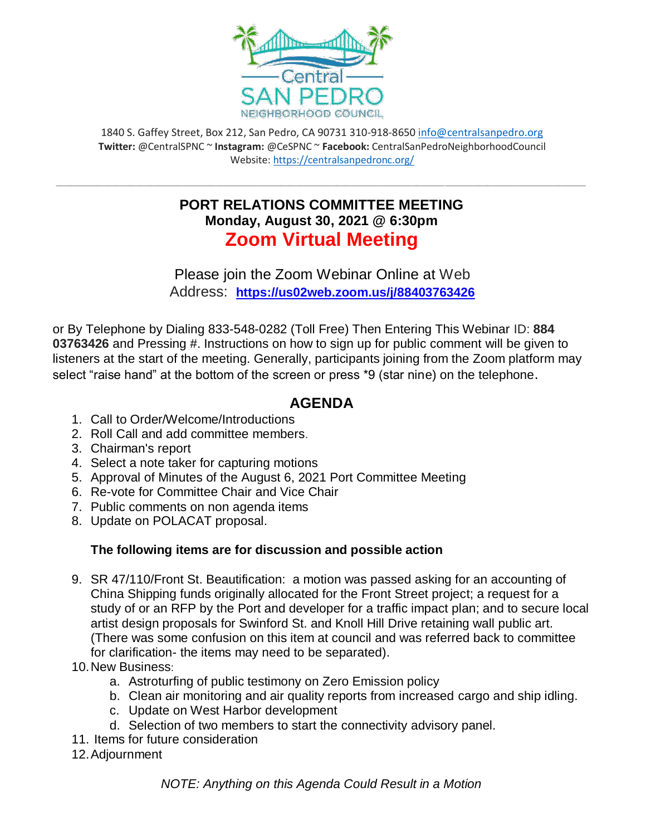

1840 S. Gaffey Street, Box 212, San Pedro, CA 90731 310-918-8650 [info@centralsanpedro.org](mailto:info@centralsanpedro.org) **Twitter:** @CentralSPNC ~ **Instagram:** @CeSPNC ~ **Facebook:** CentralSanPedroNeighborhoodCouncil Website:<https://centralsanpedronc.org/>

## **PORT RELATIONS COMMITTEE MEETING Monday, August 30, 2021 @ 6:30pm Zoom Virtual Meeting**

**\_\_\_\_\_\_\_\_\_\_\_\_\_\_\_\_\_\_\_\_\_\_\_\_\_\_\_\_\_\_\_\_\_\_\_\_\_\_\_\_\_\_\_\_\_\_\_\_\_\_\_\_\_\_\_\_\_\_\_\_\_\_\_\_\_\_\_\_\_\_\_\_\_\_\_\_\_\_\_\_\_\_\_\_\_\_\_\_\_\_\_\_\_\_\_\_\_\_\_\_\_\_\_\_\_\_\_\_\_\_\_\_\_**

Please join the Zoom Webinar Online at Web Address: **<https://us02web.zoom.us/j/88403763426>**

or By Telephone by Dialing 833-548-0282 (Toll Free) Then Entering This Webinar ID: **884 03763426** and Pressing #. Instructions on how to sign up for public comment will be given to listeners at the start of the meeting. Generally, participants joining from the Zoom platform may select "raise hand" at the bottom of the screen or press \*9 (star nine) on the telephone.

## **AGENDA**

- 1. Call to Order/Welcome/Introductions
- 2. Roll Call and add committee members.
- 3. Chairman's report
- 4. Select a note taker for capturing motions
- 5. Approval of Minutes of the August 6, 2021 Port Committee Meeting
- 6. Re-vote for Committee Chair and Vice Chair
- 7. Public comments on non agenda items
- 8. Update on POLACAT proposal.

## **The following items are for discussion and possible action**

- 9. SR 47/110/Front St. Beautification: a motion was passed asking for an accounting of China Shipping funds originally allocated for the Front Street project; a request for a study of or an RFP by the Port and developer for a traffic impact plan; and to secure local artist design proposals for Swinford St. and Knoll Hill Drive retaining wall public art. (There was some confusion on this item at council and was referred back to committee for clarification- the items may need to be separated).
- 10.New Business:
	- a. Astroturfing of public testimony on Zero Emission policy
	- b. Clean air monitoring and air quality reports from increased cargo and ship idling.
	- c. Update on West Harbor development
	- d. Selection of two members to start the connectivity advisory panel.
- 11. Items for future consideration
- 12.Adjournment